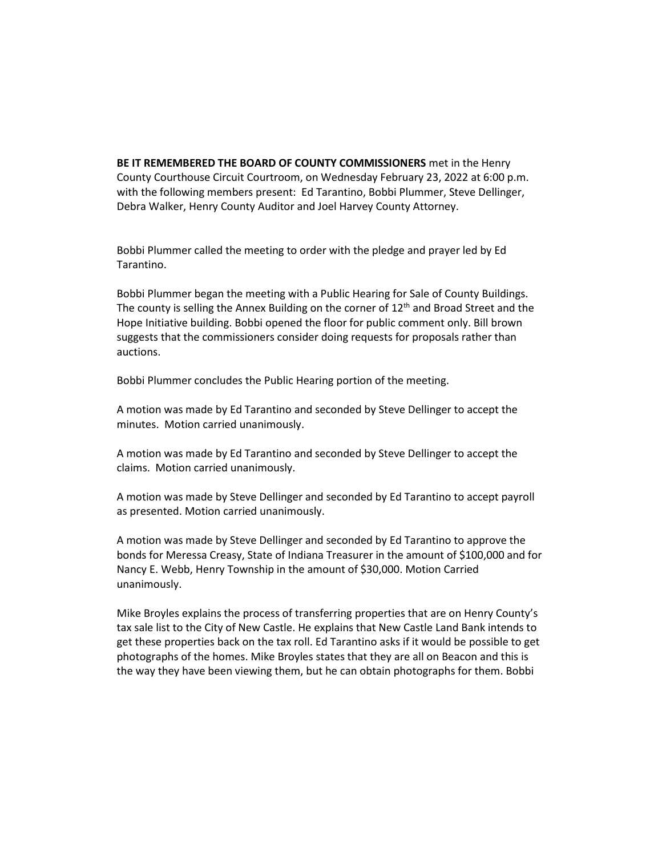**BE IT REMEMBERED THE BOARD OF COUNTY COMMISSIONERS** met in the Henry County Courthouse Circuit Courtroom, on Wednesday February 23, 2022 at 6:00 p.m. with the following members present: Ed Tarantino, Bobbi Plummer, Steve Dellinger, Debra Walker, Henry County Auditor and Joel Harvey County Attorney.

Bobbi Plummer called the meeting to order with the pledge and prayer led by Ed Tarantino.

Bobbi Plummer began the meeting with a Public Hearing for Sale of County Buildings. The county is selling the Annex Building on the corner of  $12<sup>th</sup>$  and Broad Street and the Hope Initiative building. Bobbi opened the floor for public comment only. Bill brown suggests that the commissioners consider doing requests for proposals rather than auctions.

Bobbi Plummer concludes the Public Hearing portion of the meeting.

A motion was made by Ed Tarantino and seconded by Steve Dellinger to accept the minutes. Motion carried unanimously.

A motion was made by Ed Tarantino and seconded by Steve Dellinger to accept the claims. Motion carried unanimously.

A motion was made by Steve Dellinger and seconded by Ed Tarantino to accept payroll as presented. Motion carried unanimously.

A motion was made by Steve Dellinger and seconded by Ed Tarantino to approve the bonds for Meressa Creasy, State of Indiana Treasurer in the amount of \$100,000 and for Nancy E. Webb, Henry Township in the amount of \$30,000. Motion Carried unanimously.

Mike Broyles explains the process of transferring properties that are on Henry County's tax sale list to the City of New Castle. He explains that New Castle Land Bank intends to get these properties back on the tax roll. Ed Tarantino asks if it would be possible to get photographs of the homes. Mike Broyles states that they are all on Beacon and this is the way they have been viewing them, but he can obtain photographs for them. Bobbi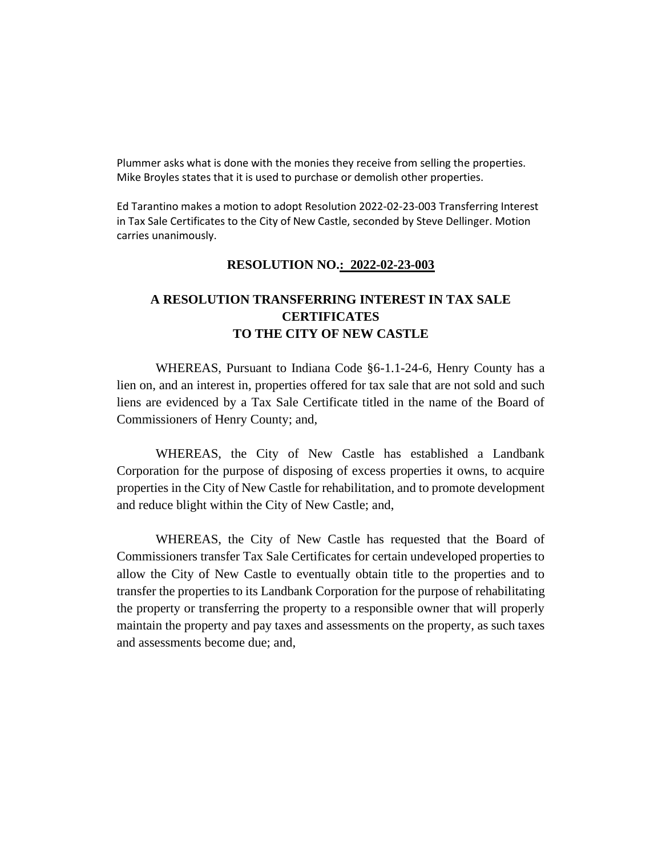Plummer asks what is done with the monies they receive from selling the properties. Mike Broyles states that it is used to purchase or demolish other properties.

Ed Tarantino makes a motion to adopt Resolution 2022-02-23-003 Transferring Interest in Tax Sale Certificates to the City of New Castle, seconded by Steve Dellinger. Motion carries unanimously.

#### **RESOLUTION NO.: 2022-02-23-003**

## **A RESOLUTION TRANSFERRING INTEREST IN TAX SALE CERTIFICATES TO THE CITY OF NEW CASTLE**

WHEREAS, Pursuant to Indiana Code §6-1.1-24-6, Henry County has a lien on, and an interest in, properties offered for tax sale that are not sold and such liens are evidenced by a Tax Sale Certificate titled in the name of the Board of Commissioners of Henry County; and,

WHEREAS, the City of New Castle has established a Landbank Corporation for the purpose of disposing of excess properties it owns, to acquire properties in the City of New Castle for rehabilitation, and to promote development and reduce blight within the City of New Castle; and,

WHEREAS, the City of New Castle has requested that the Board of Commissioners transfer Tax Sale Certificates for certain undeveloped properties to allow the City of New Castle to eventually obtain title to the properties and to transfer the properties to its Landbank Corporation for the purpose of rehabilitating the property or transferring the property to a responsible owner that will properly maintain the property and pay taxes and assessments on the property, as such taxes and assessments become due; and,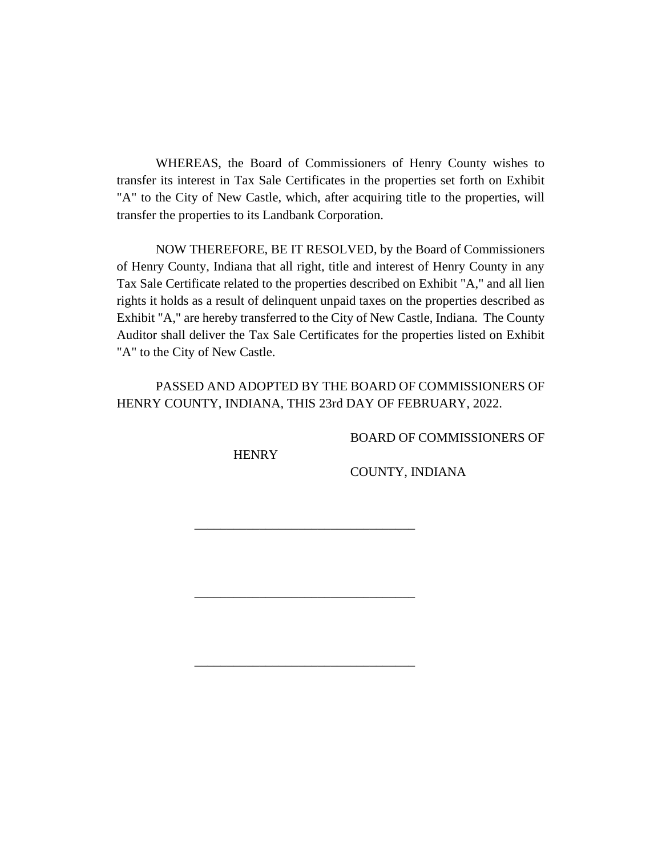WHEREAS, the Board of Commissioners of Henry County wishes to transfer its interest in Tax Sale Certificates in the properties set forth on Exhibit "A" to the City of New Castle, which, after acquiring title to the properties, will transfer the properties to its Landbank Corporation.

NOW THEREFORE, BE IT RESOLVED, by the Board of Commissioners of Henry County, Indiana that all right, title and interest of Henry County in any Tax Sale Certificate related to the properties described on Exhibit "A," and all lien rights it holds as a result of delinquent unpaid taxes on the properties described as Exhibit "A," are hereby transferred to the City of New Castle, Indiana. The County Auditor shall deliver the Tax Sale Certificates for the properties listed on Exhibit "A" to the City of New Castle.

PASSED AND ADOPTED BY THE BOARD OF COMMISSIONERS OF HENRY COUNTY, INDIANA, THIS 23rd DAY OF FEBRUARY, 2022.

\_\_\_\_\_\_\_\_\_\_\_\_\_\_\_\_\_\_\_\_\_\_\_\_\_\_\_\_\_\_\_\_\_\_

\_\_\_\_\_\_\_\_\_\_\_\_\_\_\_\_\_\_\_\_\_\_\_\_\_\_\_\_\_\_\_\_\_\_

\_\_\_\_\_\_\_\_\_\_\_\_\_\_\_\_\_\_\_\_\_\_\_\_\_\_\_\_\_\_\_\_\_\_

BOARD OF COMMISSIONERS OF

**HENRY** 

COUNTY, INDIANA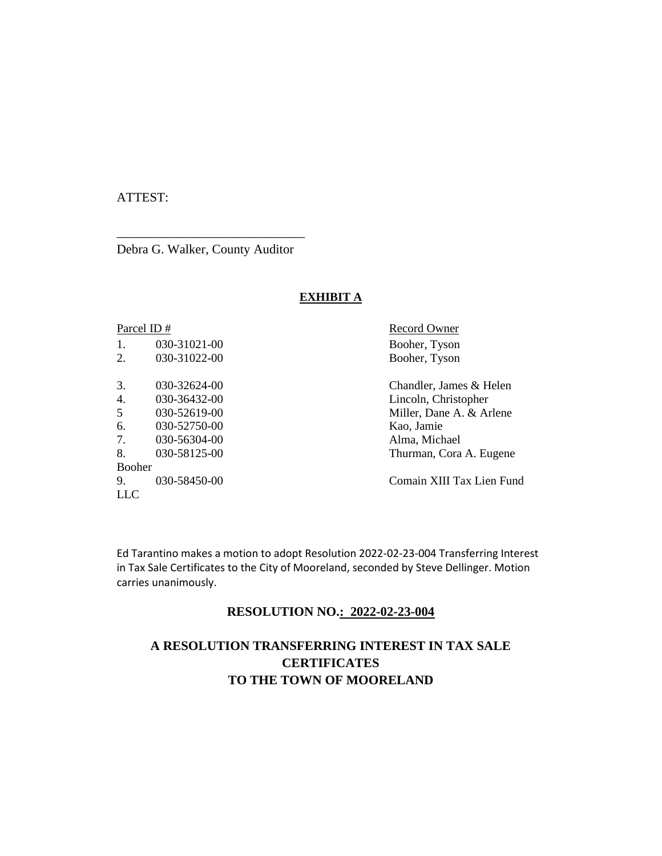### ATTEST:

Debra G. Walker, County Auditor

\_\_\_\_\_\_\_\_\_\_\_\_\_\_\_\_\_\_\_\_\_\_\_\_\_\_\_\_\_

#### **EXHIBIT A**

| Parcel ID#               |              |
|--------------------------|--------------|
| 1.                       | 030-31021-00 |
| 2.                       | 030-31022-00 |
|                          |              |
| 3.                       | 030-32624-00 |
| 4                        | 030-36432-00 |
| $\overline{\mathcal{L}}$ | 030-52619-00 |
| б.                       | 030-52750-00 |
| 7.                       | 030-56304-00 |
| 8.                       | 030-58125-00 |
| <b>Booher</b>            |              |
| 9.                       | 030-58450-00 |
| LLC                      |              |
|                          |              |

Record Owner Booher, Tyson Booher, Tyson

Chandler, James & Helen Lincoln, Christopher Miller, Dane A. & Arlene Kao, Jamie Alma, Michael Thurman, Cora A. Eugene

9. 030-58450-00 Comain XIII Tax Lien Fund

Ed Tarantino makes a motion to adopt Resolution 2022-02-23-004 Transferring Interest in Tax Sale Certificates to the City of Mooreland, seconded by Steve Dellinger. Motion carries unanimously.

#### **RESOLUTION NO.: 2022-02-23-004**

## **A RESOLUTION TRANSFERRING INTEREST IN TAX SALE CERTIFICATES TO THE TOWN OF MOORELAND**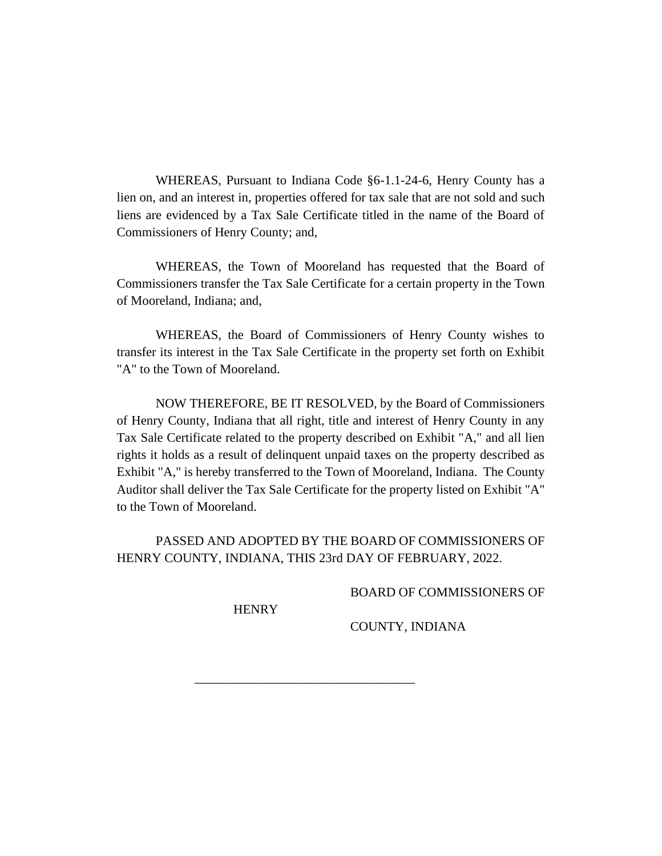WHEREAS, Pursuant to Indiana Code §6-1.1-24-6, Henry County has a lien on, and an interest in, properties offered for tax sale that are not sold and such liens are evidenced by a Tax Sale Certificate titled in the name of the Board of Commissioners of Henry County; and,

WHEREAS, the Town of Mooreland has requested that the Board of Commissioners transfer the Tax Sale Certificate for a certain property in the Town of Mooreland, Indiana; and,

WHEREAS, the Board of Commissioners of Henry County wishes to transfer its interest in the Tax Sale Certificate in the property set forth on Exhibit "A" to the Town of Mooreland.

NOW THEREFORE, BE IT RESOLVED, by the Board of Commissioners of Henry County, Indiana that all right, title and interest of Henry County in any Tax Sale Certificate related to the property described on Exhibit "A," and all lien rights it holds as a result of delinquent unpaid taxes on the property described as Exhibit "A," is hereby transferred to the Town of Mooreland, Indiana. The County Auditor shall deliver the Tax Sale Certificate for the property listed on Exhibit "A" to the Town of Mooreland.

PASSED AND ADOPTED BY THE BOARD OF COMMISSIONERS OF HENRY COUNTY, INDIANA, THIS 23rd DAY OF FEBRUARY, 2022.

\_\_\_\_\_\_\_\_\_\_\_\_\_\_\_\_\_\_\_\_\_\_\_\_\_\_\_\_\_\_\_\_\_\_

BOARD OF COMMISSIONERS OF

**HENRY** 

COUNTY, INDIANA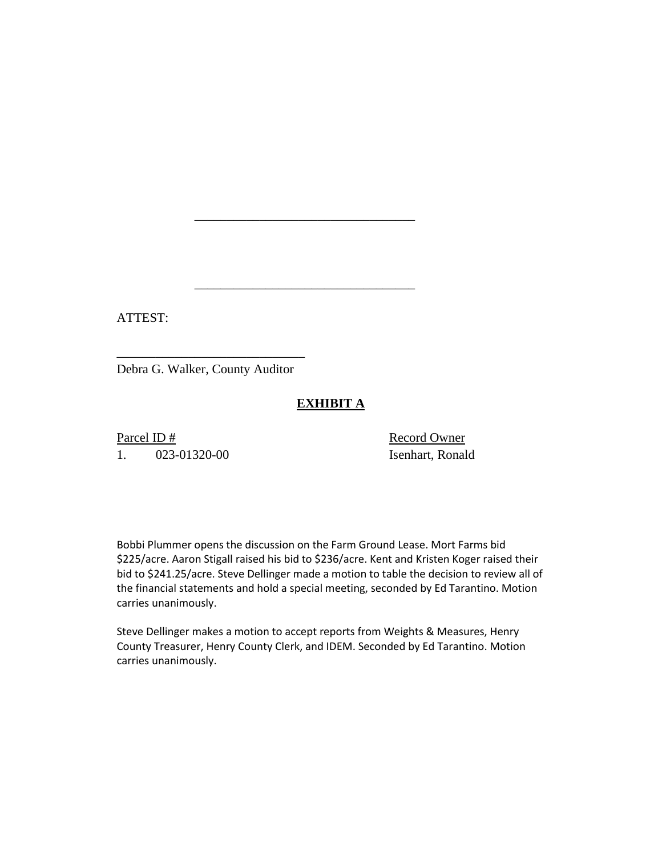ATTEST:

Debra G. Walker, County Auditor

\_\_\_\_\_\_\_\_\_\_\_\_\_\_\_\_\_\_\_\_\_\_\_\_\_\_\_\_\_

## **EXHIBIT A**

\_\_\_\_\_\_\_\_\_\_\_\_\_\_\_\_\_\_\_\_\_\_\_\_\_\_\_\_\_\_\_\_\_\_

\_\_\_\_\_\_\_\_\_\_\_\_\_\_\_\_\_\_\_\_\_\_\_\_\_\_\_\_\_\_\_\_\_\_

Parcel ID # Record Owner 1. 023-01320-00 Isenhart, Ronald

Bobbi Plummer opens the discussion on the Farm Ground Lease. Mort Farms bid \$225/acre. Aaron Stigall raised his bid to \$236/acre. Kent and Kristen Koger raised their bid to \$241.25/acre. Steve Dellinger made a motion to table the decision to review all of the financial statements and hold a special meeting, seconded by Ed Tarantino. Motion carries unanimously.

Steve Dellinger makes a motion to accept reports from Weights & Measures, Henry County Treasurer, Henry County Clerk, and IDEM. Seconded by Ed Tarantino. Motion carries unanimously.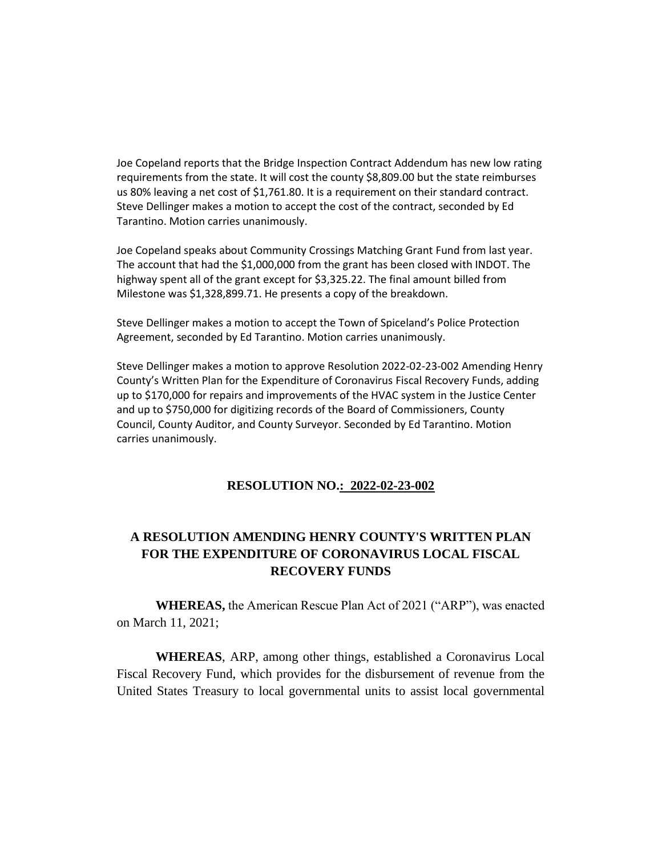Joe Copeland reports that the Bridge Inspection Contract Addendum has new low rating requirements from the state. It will cost the county \$8,809.00 but the state reimburses us 80% leaving a net cost of \$1,761.80. It is a requirement on their standard contract. Steve Dellinger makes a motion to accept the cost of the contract, seconded by Ed Tarantino. Motion carries unanimously.

Joe Copeland speaks about Community Crossings Matching Grant Fund from last year. The account that had the \$1,000,000 from the grant has been closed with INDOT. The highway spent all of the grant except for \$3,325.22. The final amount billed from Milestone was \$1,328,899.71. He presents a copy of the breakdown.

Steve Dellinger makes a motion to accept the Town of Spiceland's Police Protection Agreement, seconded by Ed Tarantino. Motion carries unanimously.

Steve Dellinger makes a motion to approve Resolution 2022-02-23-002 Amending Henry County's Written Plan for the Expenditure of Coronavirus Fiscal Recovery Funds, adding up to \$170,000 for repairs and improvements of the HVAC system in the Justice Center and up to \$750,000 for digitizing records of the Board of Commissioners, County Council, County Auditor, and County Surveyor. Seconded by Ed Tarantino. Motion carries unanimously.

#### **RESOLUTION NO.: 2022-02-23-002**

## **A RESOLUTION AMENDING HENRY COUNTY'S WRITTEN PLAN FOR THE EXPENDITURE OF CORONAVIRUS LOCAL FISCAL RECOVERY FUNDS**

**WHEREAS,** the American Rescue Plan Act of 2021 ("ARP"), was enacted on March 11, 2021;

**WHEREAS**, ARP, among other things, established a Coronavirus Local Fiscal Recovery Fund, which provides for the disbursement of revenue from the United States Treasury to local governmental units to assist local governmental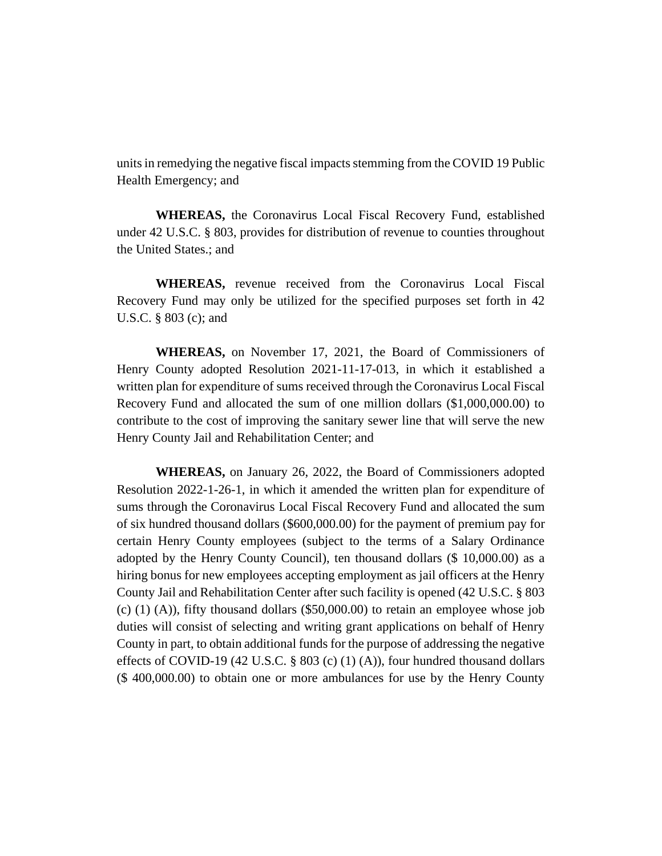units in remedying the negative fiscal impacts stemming from the COVID 19 Public Health Emergency; and

**WHEREAS,** the Coronavirus Local Fiscal Recovery Fund, established under 42 U.S.C. § 803, provides for distribution of revenue to counties throughout the United States.; and

**WHEREAS,** revenue received from the Coronavirus Local Fiscal Recovery Fund may only be utilized for the specified purposes set forth in 42 U.S.C. § 803 (c); and

**WHEREAS,** on November 17, 2021, the Board of Commissioners of Henry County adopted Resolution 2021-11-17-013, in which it established a written plan for expenditure of sums received through the Coronavirus Local Fiscal Recovery Fund and allocated the sum of one million dollars (\$1,000,000.00) to contribute to the cost of improving the sanitary sewer line that will serve the new Henry County Jail and Rehabilitation Center; and

**WHEREAS,** on January 26, 2022, the Board of Commissioners adopted Resolution 2022-1-26-1, in which it amended the written plan for expenditure of sums through the Coronavirus Local Fiscal Recovery Fund and allocated the sum of six hundred thousand dollars (\$600,000.00) for the payment of premium pay for certain Henry County employees (subject to the terms of a Salary Ordinance adopted by the Henry County Council), ten thousand dollars (\$ 10,000.00) as a hiring bonus for new employees accepting employment as jail officers at the Henry County Jail and Rehabilitation Center after such facility is opened (42 U.S.C. § 803  $(c)$  (1) (A)), fifty thousand dollars (\$50,000.00) to retain an employee whose job duties will consist of selecting and writing grant applications on behalf of Henry County in part, to obtain additional funds for the purpose of addressing the negative effects of COVID-19 (42 U.S.C.  $\S$  803 (c) (1) (A)), four hundred thousand dollars (\$ 400,000.00) to obtain one or more ambulances for use by the Henry County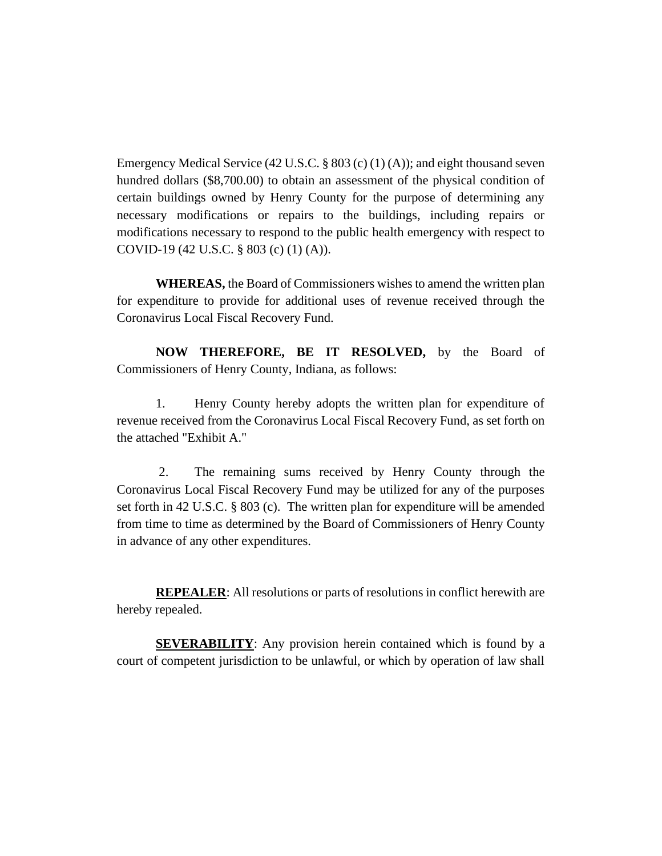Emergency Medical Service (42 U.S.C. § 803 (c) (1) (A)); and eight thousand seven hundred dollars (\$8,700.00) to obtain an assessment of the physical condition of certain buildings owned by Henry County for the purpose of determining any necessary modifications or repairs to the buildings, including repairs or modifications necessary to respond to the public health emergency with respect to COVID-19 (42 U.S.C. § 803 (c) (1) (A)).

**WHEREAS,** the Board of Commissioners wishes to amend the written plan for expenditure to provide for additional uses of revenue received through the Coronavirus Local Fiscal Recovery Fund.

**NOW THEREFORE, BE IT RESOLVED,** by the Board of Commissioners of Henry County, Indiana, as follows:

1. Henry County hereby adopts the written plan for expenditure of revenue received from the Coronavirus Local Fiscal Recovery Fund, as set forth on the attached "Exhibit A."

2. The remaining sums received by Henry County through the Coronavirus Local Fiscal Recovery Fund may be utilized for any of the purposes set forth in 42 U.S.C. § 803 (c). The written plan for expenditure will be amended from time to time as determined by the Board of Commissioners of Henry County in advance of any other expenditures.

**REPEALER:** All resolutions or parts of resolutions in conflict herewith are hereby repealed.

**SEVERABILITY**: Any provision herein contained which is found by a court of competent jurisdiction to be unlawful, or which by operation of law shall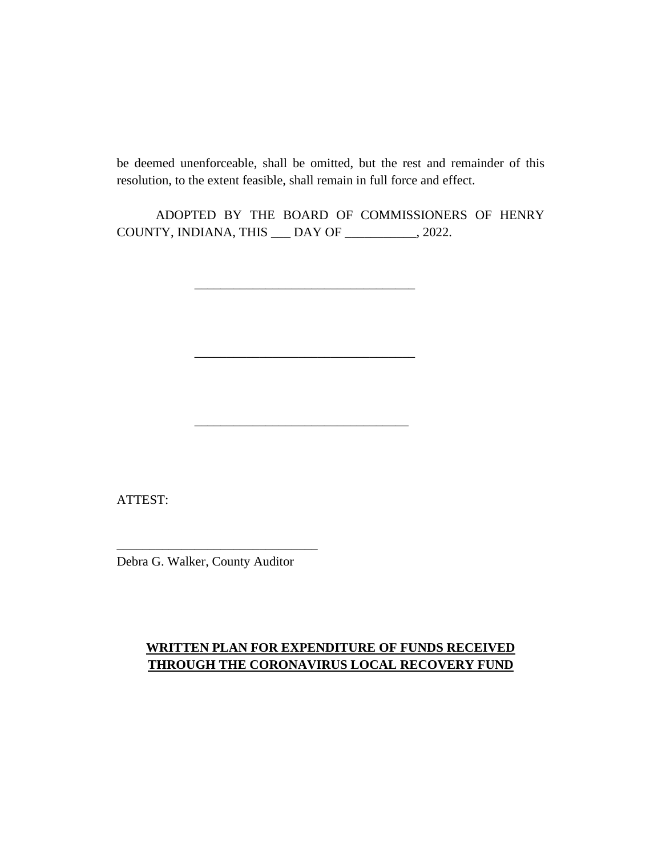be deemed unenforceable, shall be omitted, but the rest and remainder of this resolution, to the extent feasible, shall remain in full force and effect.

ADOPTED BY THE BOARD OF COMMISSIONERS OF HENRY COUNTY, INDIANA, THIS \_\_\_ DAY OF \_\_\_\_\_\_\_\_\_\_\_, 2022.

\_\_\_\_\_\_\_\_\_\_\_\_\_\_\_\_\_\_\_\_\_\_\_\_\_\_\_\_\_\_\_\_\_\_

\_\_\_\_\_\_\_\_\_\_\_\_\_\_\_\_\_\_\_\_\_\_\_\_\_\_\_\_\_\_\_\_\_\_

\_\_\_\_\_\_\_\_\_\_\_\_\_\_\_\_\_\_\_\_\_\_\_\_\_\_\_\_\_\_\_\_\_

ATTEST:

Debra G. Walker, County Auditor

\_\_\_\_\_\_\_\_\_\_\_\_\_\_\_\_\_\_\_\_\_\_\_\_\_\_\_\_\_\_\_

## **WRITTEN PLAN FOR EXPENDITURE OF FUNDS RECEIVED THROUGH THE CORONAVIRUS LOCAL RECOVERY FUND**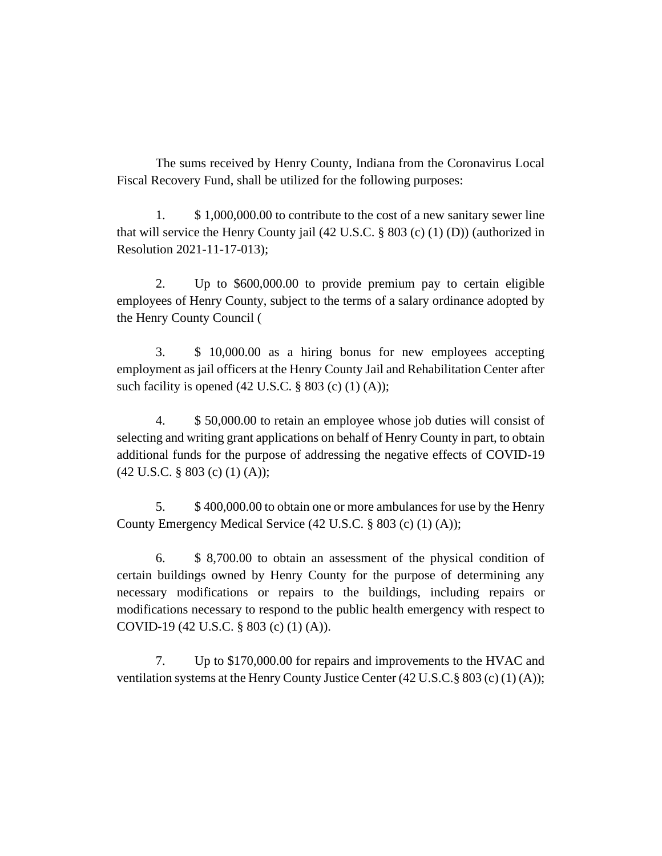The sums received by Henry County, Indiana from the Coronavirus Local Fiscal Recovery Fund, shall be utilized for the following purposes:

1. \$ 1,000,000.00 to contribute to the cost of a new sanitary sewer line that will service the Henry County jail (42 U.S.C. § 803 (c) (1) (D)) (authorized in Resolution 2021-11-17-013);

2. Up to \$600,000.00 to provide premium pay to certain eligible employees of Henry County, subject to the terms of a salary ordinance adopted by the Henry County Council (

3. \$ 10,000.00 as a hiring bonus for new employees accepting employment as jail officers at the Henry County Jail and Rehabilitation Center after such facility is opened  $(42 \text{ U.S.C.} \S 803 \text{ (c) } (1) \text{ (A)});$ 

4. \$ 50,000.00 to retain an employee whose job duties will consist of selecting and writing grant applications on behalf of Henry County in part, to obtain additional funds for the purpose of addressing the negative effects of COVID-19 (42 U.S.C. § 803 (c) (1) (A));

5. \$ 400,000.00 to obtain one or more ambulances for use by the Henry County Emergency Medical Service (42 U.S.C. § 803 (c) (1) (A));

6. \$ 8,700.00 to obtain an assessment of the physical condition of certain buildings owned by Henry County for the purpose of determining any necessary modifications or repairs to the buildings, including repairs or modifications necessary to respond to the public health emergency with respect to COVID-19 (42 U.S.C. § 803 (c) (1) (A)).

7. Up to \$170,000.00 for repairs and improvements to the HVAC and ventilation systems at the Henry County Justice Center  $(42 \text{ U.S.C.} \$ 803 \text{ (c) } (1) \text{ (A)});$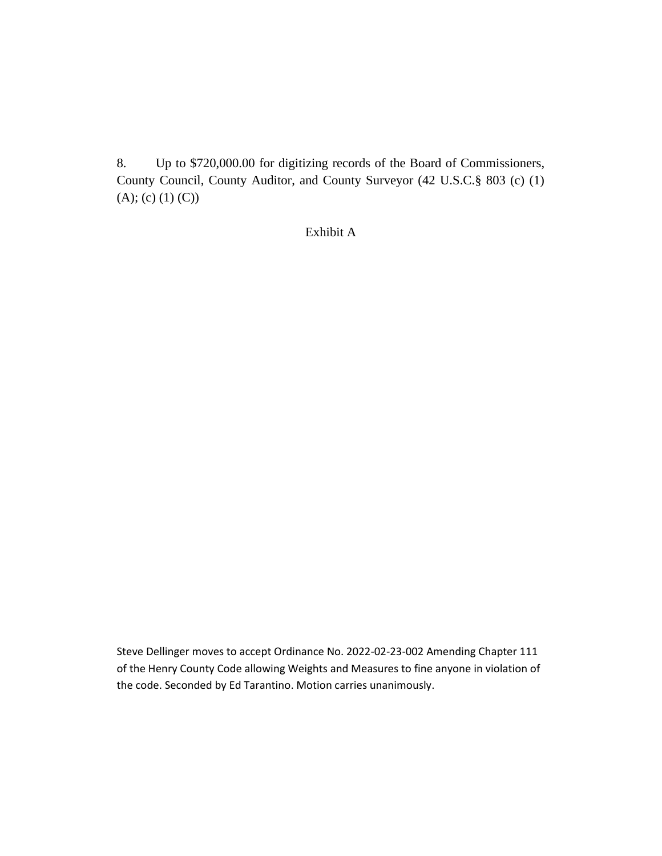8. Up to \$720,000.00 for digitizing records of the Board of Commissioners, County Council, County Auditor, and County Surveyor (42 U.S.C.§ 803 (c) (1)  $(A); (c) (1) (C)$ 

Exhibit A

Steve Dellinger moves to accept Ordinance No. 2022-02-23-002 Amending Chapter 111 of the Henry County Code allowing Weights and Measures to fine anyone in violation of the code. Seconded by Ed Tarantino. Motion carries unanimously.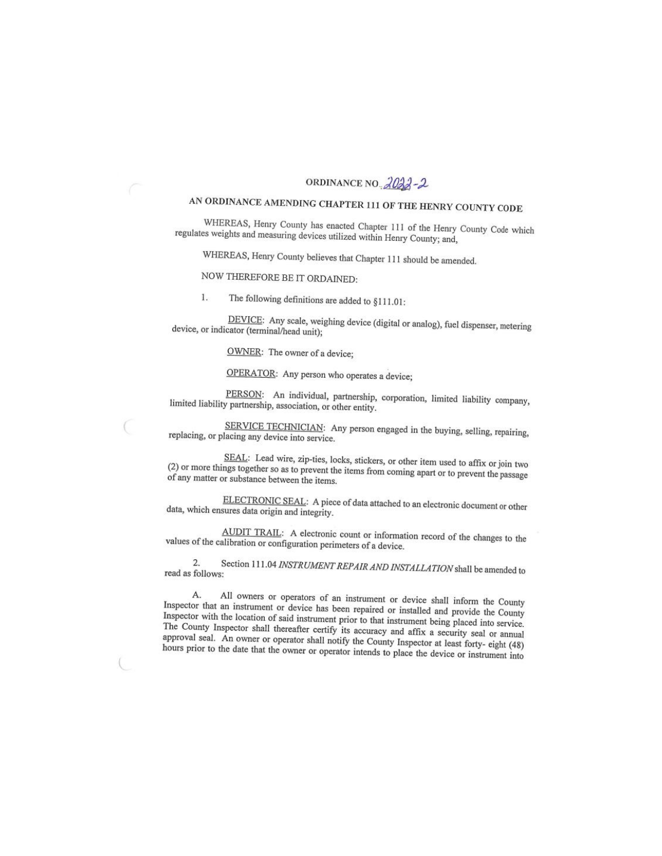#### ORDINANCE NO. 2022-2

# AN ORDINANCE AMENDING CHAPTER 111 OF THE HENRY COUNTY CODE

WHEREAS, Henry County has enacted Chapter 111 of the Henry County Code which regulates weights and measuring devices utilized within Henry County; and,

WHEREAS, Henry County believes that Chapter 111 should be amended.

NOW THEREFORE BE IT ORDAINED:

1. The following definitions are added to §111.01:

DEVICE: Any scale, weighing device (digital or analog), fuel dispenser, metering device, or indicator (terminal/head unit);

OWNER: The owner of a device;

OPERATOR: Any person who operates a device;

PERSON: An individual, partnership, corporation, limited liability company, limited liability partnership, association, or other entity.

SERVICE TECHNICIAN: Any person engaged in the buying, selling, repairing, replacing, or placing any device into service.

SEAL: Lead wire, zip-ties, locks, stickers, or other item used to affix or join two (2) or more things together so as to prevent the items from coming apart or to prevent the passage of any matter or substance between the items.

ELECTRONIC SEAL: A piece of data attached to an electronic document or other data, which ensures data origin and integrity.

AUDIT TRAIL: A electronic count or information record of the changes to the values of the calibration or configuration perimeters of a device.

Section 111.04 INSTRUMENT REPAIR AND INSTALLATION shall be amended to  $\overline{2}$ read as follows:

All owners or operators of an instrument or device shall inform the County А. Inspector that an instrument or device has been repaired or installed and provide the County Inspector with the location of said instrument prior to that instrument being placed into service. The County Inspector shall thereafter certify its accuracy and affix a security seal or annual approval seal. An owner or operator shall notify the County Inspector at least forty- eight (48) hours prior to the date that the owner or operator intends to place the device or instrument into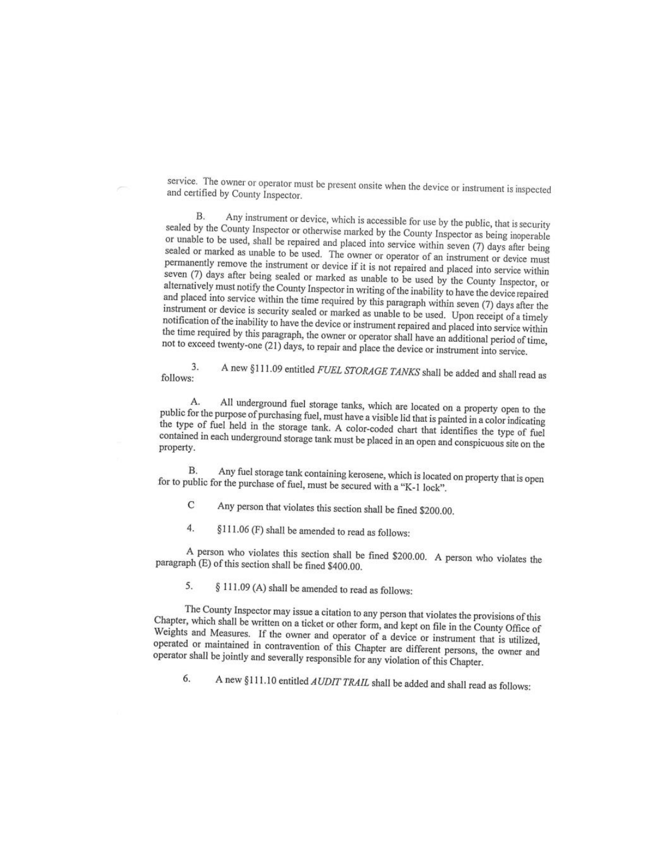service. The owner or operator must be present onsite when the device or instrument is inspected and certified by County Inspector.

Any instrument or device, which is accessible for use by the public, that is security **B.** sealed by the County Inspector or otherwise marked by the County Inspector as being inoperable or unable to be used, shall be repaired and placed into service within seven (7) days after being sealed or marked as unable to be used. The owner or operator of an instrument or device must permanently remove the instrument or device if it is not repaired and placed into service within seven (7) days after being sealed or marked as unable to be used by the County Inspector, or alternatively must notify the County Inspector in writing of the inability to have the device repaired and placed into service within the time required by this paragraph within seven (7) days after the instrument or device is security sealed or marked as unable to be used. Upon receipt of a timely notification of the inability to have the device or instrument repaired and placed into service within the time required by this paragraph, the owner or operator shall have an additional period of time, not to exceed twenty-one (21) days, to repair and place the device or instrument into service.

A new §111.09 entitled FUEL STORAGE TANKS shall be added and shall read as 3. follows:

All underground fuel storage tanks, which are located on a property open to the  $\mathbf{A}$ public for the purpose of purchasing fuel, must have a visible lid that is painted in a color indicating the type of fuel held in the storage tank. A color-coded chart that identifies the type of fuel contained in each underground storage tank must be placed in an open and conspicuous site on the property.

Any fuel storage tank containing kerosene, which is located on property that is open **B.** for to public for the purchase of fuel, must be secured with a "K-1 lock".

- Any person that violates this section shall be fined \$200.00.  $\overline{C}$
- $\overline{4}$ . §111.06 (F) shall be amended to read as follows:

A person who violates this section shall be fined \$200.00. A person who violates the paragraph (E) of this section shall be fined \$400.00.

5. § 111.09 (A) shall be amended to read as follows:

The County Inspector may issue a citation to any person that violates the provisions of this Chapter, which shall be written on a ticket or other form, and kept on file in the County Office of Weights and Measures. If the owner and operator of a device or instrument that is utilized, operated or maintained in contravention of this Chapter are different persons, the owner and operator shall be jointly and severally responsible for any violation of this Chapter.

A new §111.10 entitled AUDIT TRAIL shall be added and shall read as follows: 6.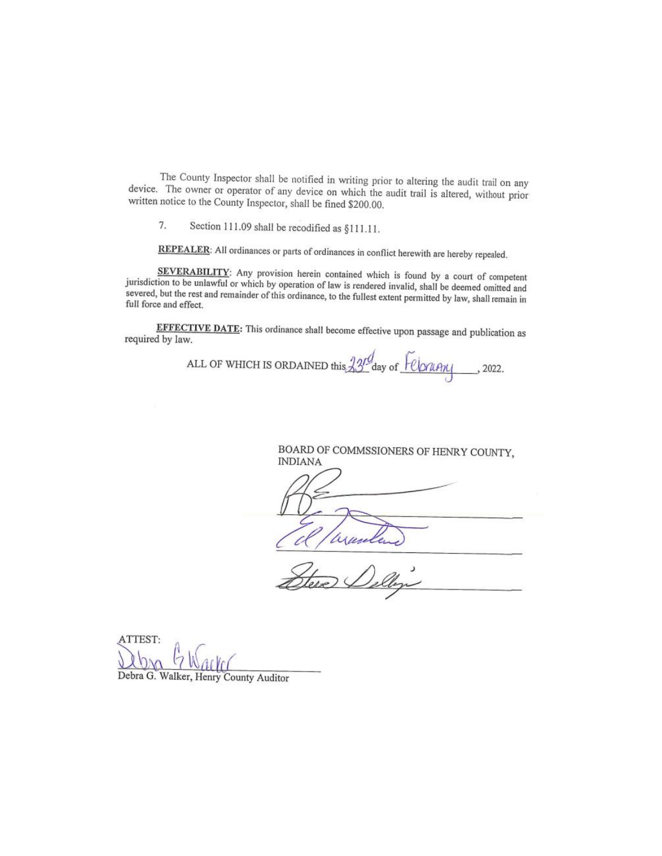The County Inspector shall be notified in writing prior to altering the audit trail on any device. The owner or operator of any device on which the audit trail is altered, without prior written notice to the County Inspector, shall be fined \$200.00.

7. Section 111.09 shall be recodified as §111.11.

REPEALER: All ordinances or parts of ordinances in conflict herewith are hereby repealed.

SEVERABILITY: Any provision herein contained which is found by a court of competent jurisdiction to be unlawful or which by operation of law is rendered invalid, shall be deemed omitted and severed, but the rest and remainder of this ordinance, to the fullest extent permitted by law, shall remain in full force and effect.

EFFECTIVE DATE: This ordinance shall become effective upon passage and publication as required by law.

ALL OF WHICH IS ORDAINED this 23<sup>rd</sup> day of <u>Felorany</u>, 2022.

BOARD OF COMMSSIONERS OF HENRY COUNTY, **INDIANA** yund

ATTEST: Debra G. Walker, Henry County Auditor